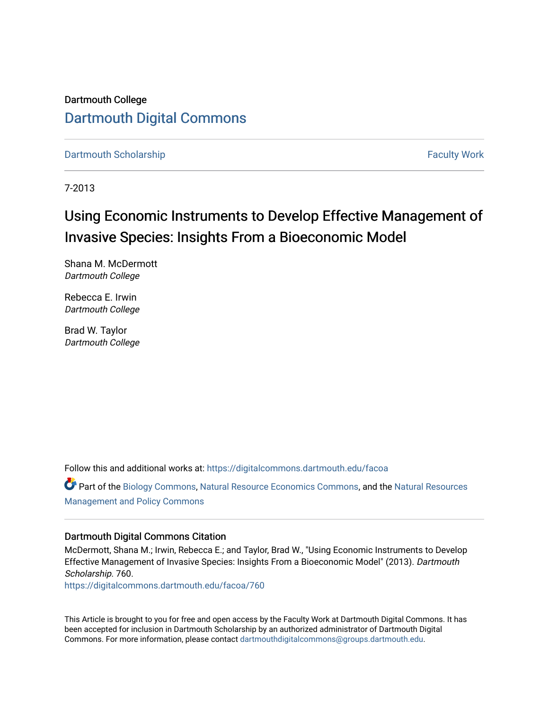## Dartmouth College [Dartmouth Digital Commons](https://digitalcommons.dartmouth.edu/)

[Dartmouth Scholarship](https://digitalcommons.dartmouth.edu/facoa) [Faculty Work](https://digitalcommons.dartmouth.edu/faculty) and The Basic Scholarship Faculty Work Faculty Work

7-2013

# Using Economic Instruments to Develop Effective Management of Invasive Species: Insights From a Bioeconomic Model

Shana M. McDermott Dartmouth College

Rebecca E. Irwin Dartmouth College

Brad W. Taylor Dartmouth College

Follow this and additional works at: [https://digitalcommons.dartmouth.edu/facoa](https://digitalcommons.dartmouth.edu/facoa?utm_source=digitalcommons.dartmouth.edu%2Ffacoa%2F760&utm_medium=PDF&utm_campaign=PDFCoverPages)

Part of the [Biology Commons,](http://network.bepress.com/hgg/discipline/41?utm_source=digitalcommons.dartmouth.edu%2Ffacoa%2F760&utm_medium=PDF&utm_campaign=PDFCoverPages) [Natural Resource Economics Commons](http://network.bepress.com/hgg/discipline/169?utm_source=digitalcommons.dartmouth.edu%2Ffacoa%2F760&utm_medium=PDF&utm_campaign=PDFCoverPages), and the [Natural Resources](http://network.bepress.com/hgg/discipline/170?utm_source=digitalcommons.dartmouth.edu%2Ffacoa%2F760&utm_medium=PDF&utm_campaign=PDFCoverPages)  [Management and Policy Commons](http://network.bepress.com/hgg/discipline/170?utm_source=digitalcommons.dartmouth.edu%2Ffacoa%2F760&utm_medium=PDF&utm_campaign=PDFCoverPages) 

### Dartmouth Digital Commons Citation

McDermott, Shana M.; Irwin, Rebecca E.; and Taylor, Brad W., "Using Economic Instruments to Develop Effective Management of Invasive Species: Insights From a Bioeconomic Model" (2013). Dartmouth Scholarship. 760.

[https://digitalcommons.dartmouth.edu/facoa/760](https://digitalcommons.dartmouth.edu/facoa/760?utm_source=digitalcommons.dartmouth.edu%2Ffacoa%2F760&utm_medium=PDF&utm_campaign=PDFCoverPages)

This Article is brought to you for free and open access by the Faculty Work at Dartmouth Digital Commons. It has been accepted for inclusion in Dartmouth Scholarship by an authorized administrator of Dartmouth Digital Commons. For more information, please contact [dartmouthdigitalcommons@groups.dartmouth.edu](mailto:dartmouthdigitalcommons@groups.dartmouth.edu).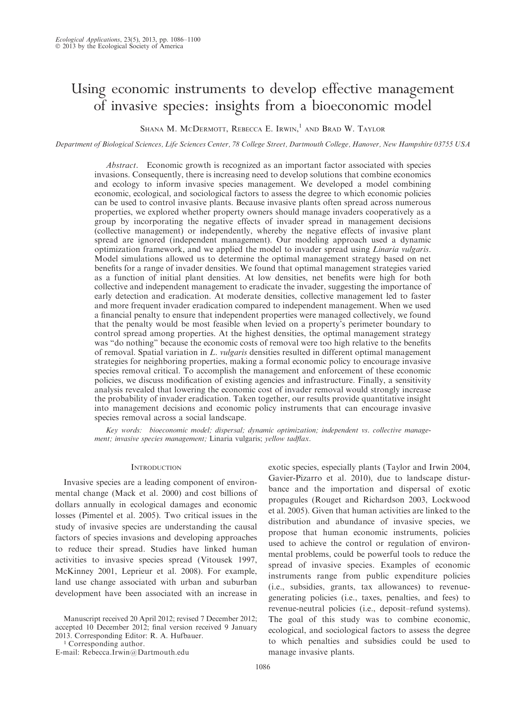## Using economic instruments to develop effective management of invasive species: insights from a bioeconomic model

SHANA M. MCDERMOTT, REBECCA E. IRWIN,<sup>1</sup> AND BRAD W. TAYLOR

Department of Biological Sciences, Life Sciences Center, 78 College Street, Dartmouth College, Hanover, New Hampshire 03755 USA

Abstract. Economic growth is recognized as an important factor associated with species invasions. Consequently, there is increasing need to develop solutions that combine economics and ecology to inform invasive species management. We developed a model combining economic, ecological, and sociological factors to assess the degree to which economic policies can be used to control invasive plants. Because invasive plants often spread across numerous properties, we explored whether property owners should manage invaders cooperatively as a group by incorporating the negative effects of invader spread in management decisions (collective management) or independently, whereby the negative effects of invasive plant spread are ignored (independent management). Our modeling approach used a dynamic optimization framework, and we applied the model to invader spread using Linaria vulgaris. Model simulations allowed us to determine the optimal management strategy based on net benefits for a range of invader densities. We found that optimal management strategies varied as a function of initial plant densities. At low densities, net benefits were high for both collective and independent management to eradicate the invader, suggesting the importance of early detection and eradication. At moderate densities, collective management led to faster and more frequent invader eradication compared to independent management. When we used a financial penalty to ensure that independent properties were managed collectively, we found that the penalty would be most feasible when levied on a property's perimeter boundary to control spread among properties. At the highest densities, the optimal management strategy was ''do nothing'' because the economic costs of removal were too high relative to the benefits of removal. Spatial variation in L. vulgaris densities resulted in different optimal management strategies for neighboring properties, making a formal economic policy to encourage invasive species removal critical. To accomplish the management and enforcement of these economic policies, we discuss modification of existing agencies and infrastructure. Finally, a sensitivity analysis revealed that lowering the economic cost of invader removal would strongly increase the probability of invader eradication. Taken together, our results provide quantitative insight into management decisions and economic policy instruments that can encourage invasive species removal across a social landscape.

Key words: bioeconomic model; dispersal; dynamic optimization; independent vs. collective management; invasive species management; Linaria vulgaris; yellow tadflax.

#### **INTRODUCTION**

Invasive species are a leading component of environmental change (Mack et al. 2000) and cost billions of dollars annually in ecological damages and economic losses (Pimentel et al. 2005). Two critical issues in the study of invasive species are understanding the causal factors of species invasions and developing approaches to reduce their spread. Studies have linked human activities to invasive species spread (Vitousek 1997, McKinney 2001, Leprieur et al. 2008). For example, land use change associated with urban and suburban development have been associated with an increase in

Manuscript received 20 April 2012; revised 7 December 2012; accepted 10 December 2012; final version received 9 January 2013. Corresponding Editor: R. A. Hufbauer.

<sup>1</sup> Corresponding author.

E-mail: Rebecca.Irwin@Dartmouth.edu

exotic species, especially plants (Taylor and Irwin 2004, Gavier-Pizarro et al. 2010), due to landscape disturbance and the importation and dispersal of exotic propagules (Rouget and Richardson 2003, Lockwood et al. 2005). Given that human activities are linked to the distribution and abundance of invasive species, we propose that human economic instruments, policies used to achieve the control or regulation of environmental problems, could be powerful tools to reduce the spread of invasive species. Examples of economic instruments range from public expenditure policies (i.e., subsidies, grants, tax allowances) to revenuegenerating policies (i.e., taxes, penalties, and fees) to revenue-neutral policies (i.e., deposit–refund systems). The goal of this study was to combine economic, ecological, and sociological factors to assess the degree to which penalties and subsidies could be used to manage invasive plants.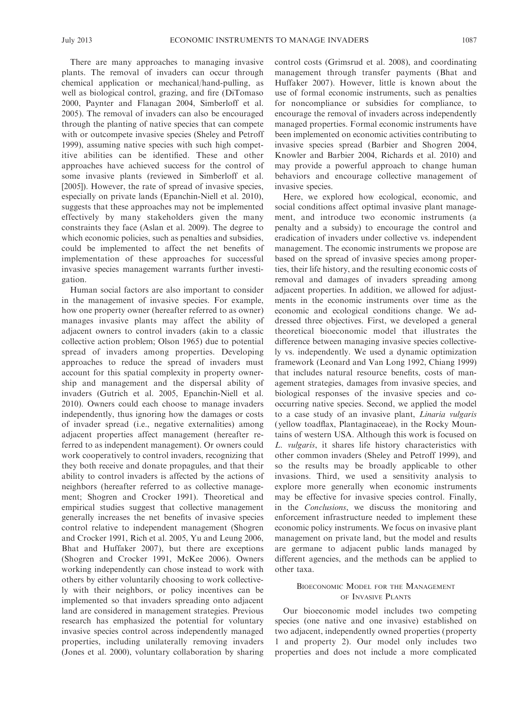There are many approaches to managing invasive plants. The removal of invaders can occur through chemical application or mechanical/hand-pulling, as well as biological control, grazing, and fire (DiTomaso 2000, Paynter and Flanagan 2004, Simberloff et al. 2005). The removal of invaders can also be encouraged through the planting of native species that can compete with or outcompete invasive species (Sheley and Petroff 1999), assuming native species with such high competitive abilities can be identified. These and other approaches have achieved success for the control of some invasive plants (reviewed in Simberloff et al. [2005]). However, the rate of spread of invasive species, especially on private lands (Epanchin-Niell et al. 2010), suggests that these approaches may not be implemented effectively by many stakeholders given the many constraints they face (Aslan et al. 2009). The degree to which economic policies, such as penalties and subsidies, could be implemented to affect the net benefits of implementation of these approaches for successful invasive species management warrants further investigation.

Human social factors are also important to consider in the management of invasive species. For example, how one property owner (hereafter referred to as owner) manages invasive plants may affect the ability of adjacent owners to control invaders (akin to a classic collective action problem; Olson 1965) due to potential spread of invaders among properties. Developing approaches to reduce the spread of invaders must account for this spatial complexity in property ownership and management and the dispersal ability of invaders (Gutrich et al. 2005, Epanchin-Niell et al. 2010). Owners could each choose to manage invaders independently, thus ignoring how the damages or costs of invader spread (i.e., negative externalities) among adjacent properties affect management (hereafter referred to as independent management). Or owners could work cooperatively to control invaders, recognizing that they both receive and donate propagules, and that their ability to control invaders is affected by the actions of neighbors (hereafter referred to as collective management; Shogren and Crocker 1991). Theoretical and empirical studies suggest that collective management generally increases the net benefits of invasive species control relative to independent management (Shogren and Crocker 1991, Rich et al. 2005, Yu and Leung 2006, Bhat and Huffaker 2007), but there are exceptions (Shogren and Crocker 1991, McKee 2006). Owners working independently can chose instead to work with others by either voluntarily choosing to work collectively with their neighbors, or policy incentives can be implemented so that invaders spreading onto adjacent land are considered in management strategies. Previous research has emphasized the potential for voluntary invasive species control across independently managed properties, including unilaterally removing invaders (Jones et al. 2000), voluntary collaboration by sharing control costs (Grimsrud et al. 2008), and coordinating management through transfer payments (Bhat and Huffaker 2007). However, little is known about the use of formal economic instruments, such as penalties for noncompliance or subsidies for compliance, to encourage the removal of invaders across independently managed properties. Formal economic instruments have been implemented on economic activities contributing to invasive species spread (Barbier and Shogren 2004, Knowler and Barbier 2004, Richards et al. 2010) and may provide a powerful approach to change human behaviors and encourage collective management of invasive species.

Here, we explored how ecological, economic, and social conditions affect optimal invasive plant management, and introduce two economic instruments (a penalty and a subsidy) to encourage the control and eradication of invaders under collective vs. independent management. The economic instruments we propose are based on the spread of invasive species among properties, their life history, and the resulting economic costs of removal and damages of invaders spreading among adjacent properties. In addition, we allowed for adjustments in the economic instruments over time as the economic and ecological conditions change. We addressed three objectives. First, we developed a general theoretical bioeconomic model that illustrates the difference between managing invasive species collectively vs. independently. We used a dynamic optimization framework (Leonard and Van Long 1992, Chiang 1999) that includes natural resource benefits, costs of management strategies, damages from invasive species, and biological responses of the invasive species and cooccurring native species. Second, we applied the model to a case study of an invasive plant, Linaria vulgaris (yellow toadflax, Plantaginaceae), in the Rocky Mountains of western USA. Although this work is focused on L. vulgaris, it shares life history characteristics with other common invaders (Sheley and Petroff 1999), and so the results may be broadly applicable to other invasions. Third, we used a sensitivity analysis to explore more generally when economic instruments may be effective for invasive species control. Finally, in the Conclusions, we discuss the monitoring and enforcement infrastructure needed to implement these economic policy instruments. We focus on invasive plant management on private land, but the model and results are germane to adjacent public lands managed by different agencies, and the methods can be applied to other taxa.

#### BIOECONOMIC MODEL FOR THE MANAGEMENT OF INVASIVE PLANTS

Our bioeconomic model includes two competing species (one native and one invasive) established on two adjacent, independently owned properties (property 1 and property 2). Our model only includes two properties and does not include a more complicated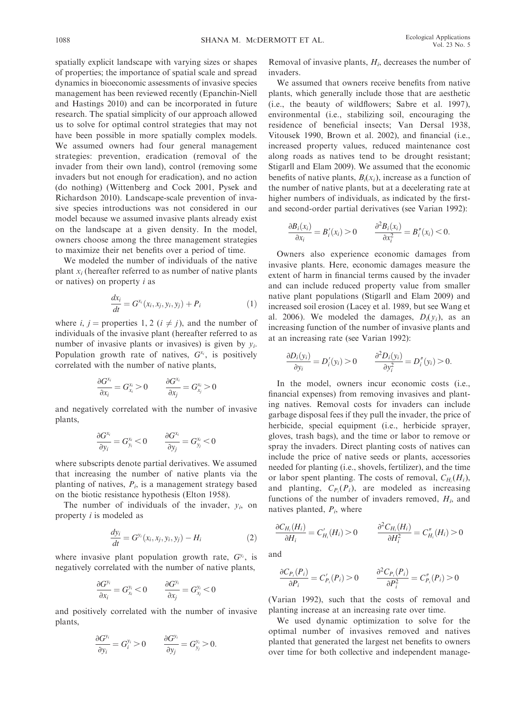spatially explicit landscape with varying sizes or shapes of properties; the importance of spatial scale and spread dynamics in bioeconomic assessments of invasive species management has been reviewed recently (Epanchin-Niell and Hastings 2010) and can be incorporated in future research. The spatial simplicity of our approach allowed us to solve for optimal control strategies that may not have been possible in more spatially complex models. We assumed owners had four general management strategies: prevention, eradication (removal of the invader from their own land), control (removing some invaders but not enough for eradication), and no action (do nothing) (Wittenberg and Cock 2001, Pysek and Richardson 2010). Landscape-scale prevention of invasive species introductions was not considered in our model because we assumed invasive plants already exist on the landscape at a given density. In the model, owners choose among the three management strategies to maximize their net benefits over a period of time.

We modeled the number of individuals of the native plant  $x_i$  (hereafter referred to as number of native plants or natives) on property  $i$  as

$$
\frac{dx_i}{dt} = G^{x_i}(x_i, x_j, y_i, y_j) + P_i \tag{1}
$$

where *i*, *j* = properties 1, 2 ( $i \neq j$ ), and the number of individuals of the invasive plant (hereafter referred to as number of invasive plants or invasives) is given by  $y_i$ . Population growth rate of natives,  $G^{x_i}$ , is positively correlated with the number of native plants,

$$
\frac{\partial G^{x_i}}{\partial x_i} = G_{x_i}^{x_i} > 0 \qquad \frac{\partial G^{x_i}}{\partial x_j} = G_{x_j}^{x_i} > 0
$$

and negatively correlated with the number of invasive plants,

$$
\frac{\partial G^{x_i}}{\partial y_i} = G^{x_i}_{y_i} < 0 \qquad \frac{\partial G^{x_i}}{\partial y_j} = G^{x_i}_{y_j} < 0
$$

where subscripts denote partial derivatives. We assumed that increasing the number of native plants via the planting of natives,  $P_i$ , is a management strategy based on the biotic resistance hypothesis (Elton 1958).

The number of individuals of the invader,  $y_i$ , on property i is modeled as

$$
\frac{dy_i}{dt} = G^{y_i}(x_i, x_j, y_i, y_j) - H_i
$$
\n(2)

where invasive plant population growth rate,  $G^{y_i}$ , is negatively correlated with the number of native plants,

$$
\frac{\partial G^{y_i}}{\partial x_i} = G_{x_i}^{y_i} < 0 \qquad \frac{\partial G^{y_i}}{\partial x_j} = G_{x_j}^{y_i} < 0
$$

and positively correlated with the number of invasive plants,

$$
\frac{\partial G^{y_i}}{\partial y_i} = G_i^{y_i} > 0 \qquad \frac{\partial G^{y_i}}{\partial y_j} = G_{y_j}^{y_i} > 0.
$$

Removal of invasive plants,  $H_i$ , decreases the number of invaders.

We assumed that owners receive benefits from native plants, which generally include those that are aesthetic (i.e., the beauty of wildflowers; Sabre et al. 1997), environmental (i.e., stabilizing soil, encouraging the residence of beneficial insects; Van Dersal 1938, Vitousek 1990, Brown et al. 2002), and financial (i.e., increased property values, reduced maintenance cost along roads as natives tend to be drought resistant; Stigarll and Elam 2009). We assumed that the economic benefits of native plants,  $B_i(x_i)$ , increase as a function of the number of native plants, but at a decelerating rate at higher numbers of individuals, as indicated by the firstand second-order partial derivatives (see Varian 1992):

$$
\frac{\partial B_i(x_i)}{\partial x_i} = B'_i(x_i) > 0 \qquad \frac{\partial^2 B_i(x_i)}{\partial x_i^2} = B''_i(x_i) < 0.
$$

Owners also experience economic damages from invasive plants. Here, economic damages measure the extent of harm in financial terms caused by the invader and can include reduced property value from smaller native plant populations (Stigarll and Elam 2009) and increased soil erosion (Lacey et al. 1989, but see Wang et al. 2006). We modeled the damages,  $D_i(v_i)$ , as an increasing function of the number of invasive plants and at an increasing rate (see Varian 1992):

$$
\frac{\partial D_i(y_i)}{\partial y_i} = D'_i(y_i) > 0 \qquad \frac{\partial^2 D_i(y_i)}{\partial y_i^2} = D''_i(y_i) > 0.
$$

In the model, owners incur economic costs (i.e., financial expenses) from removing invasives and planting natives. Removal costs for invaders can include garbage disposal fees if they pull the invader, the price of herbicide, special equipment (i.e., herbicide sprayer, gloves, trash bags), and the time or labor to remove or spray the invaders. Direct planting costs of natives can include the price of native seeds or plants, accessories needed for planting (i.e., shovels, fertilizer), and the time or labor spent planting. The costs of removal,  $C_{H_i}(H_i)$ , and planting,  $C_{P_i}(P_i)$ , are modeled as increasing functions of the number of invaders removed,  $H_i$ , and natives planted,  $P_i$ , where

$$
\frac{\partial C_{H_i}(H_i)}{\partial H_i} = C'_{H_i}(H_i) > 0 \qquad \frac{\partial^2 C_{H_i}(H_i)}{\partial H_i^2} = C''_{H_i}(H_i) > 0
$$

and

$$
\frac{\partial C_{P_i}(P_i)}{\partial P_i} = C'_{P_i}(P_i) > 0 \qquad \frac{\partial^2 C_{P_i}(P_i)}{\partial P_i^2} = C''_{P_i}(P_i) > 0
$$

(Varian 1992), such that the costs of removal and planting increase at an increasing rate over time.

We used dynamic optimization to solve for the optimal number of invasives removed and natives planted that generated the largest net benefits to owners over time for both collective and independent manage-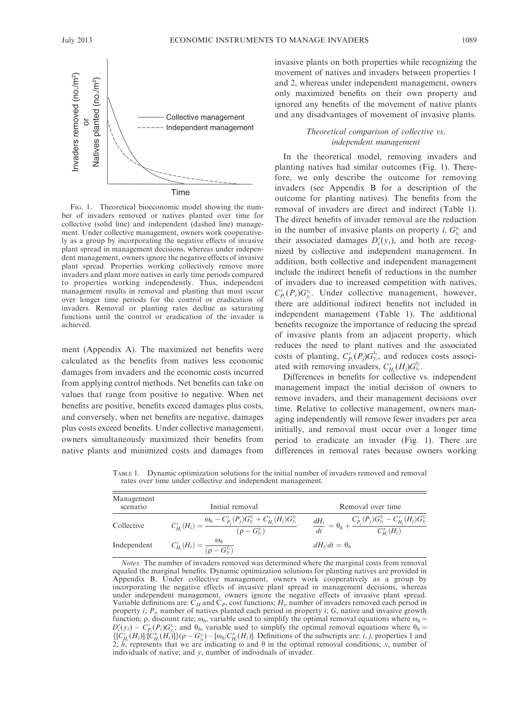

FIG. 1. Theoretical bioeconomic model showing the number of invaders removed or natives planted over time for collective (solid line) and independent (dashed line) management. Under collective management, owners work cooperatively as a group by incorporating the negative effects of invasive plant spread in management decisions, whereas under independent management, owners ignore the negative effects of invasive plant spread. Properties working collectively remove more invaders and plant more natives in early time periods compared to properties working independently. Thus, independent management results in removal and planting that must occur over longer time periods for the control or eradication of invaders. Removal or planting rates decline as saturating functions until the control or eradication of the invader is achieved.

ment (Appendix A). The maximized net benefits were calculated as the benefits from natives less economic damages from invaders and the economic costs incurred from applying control methods. Net benefits can take on values that range from positive to negative. When net benefits are positive, benefits exceed damages plus costs, and conversely, when net benefits are negative, damages plus costs exceed benefits. Under collective management, owners simultaneously maximized their benefits from native plants and minimized costs and damages from invasive plants on both properties while recognizing the movement of natives and invaders between properties 1 and 2, whereas under independent management, owners only maximized benefits on their own property and ignored any benefits of the movement of native plants and any disadvantages of movement of invasive plants.

#### Theoretical comparison of collective vs. independent management

In the theoretical model, removing invaders and planting natives had similar outcomes (Fig. 1). Therefore, we only describe the outcome for removing invaders (see Appendix B for a description of the outcome for planting natives). The benefits from the removal of invaders are direct and indirect (Table 1). The direct benefits of invader removal are the reduction in the number of invasive plants on property *i*,  $G_{y_i}^{y_i}$  and their associated damages  $D_i'(y_i)$ , and both are recognized by collective and independent management. In addition, both collective and independent management include the indirect benefit of reductions in the number of invaders due to increased competition with natives,  $C'_{P_i}(P_i)G_{y_i}^{x_i}$ . Under collective management, however, there are additional indirect benefits not included in independent management (Table 1). The additional benefits recognize the importance of reducing the spread of invasive plants from an adjacent property, which reduces the need to plant natives and the associated costs of planting,  $C'_{P_i}(P_j)G_{y_i}^{x_j}$ , and reduces costs associated with removing invaders,  $C'_{H_j}(H_j)G_{y_i}^{y_j}$ .

Differences in benefits for collective vs. independent management impact the initial decision of owners to remove invaders, and their management decisions over time. Relative to collective management, owners managing independently will remove fewer invaders per area initially, and removal must occur over a longer time period to eradicate an invader (Fig. 1). There are differences in removal rates because owners working

TABLE 1. Dynamic optimization solutions for the initial number of invaders removed and removal rates over time under collective and independent management.

| Management<br>scenario | Initial removal                                                                                                                | Removal over time                                                                                                                                   |
|------------------------|--------------------------------------------------------------------------------------------------------------------------------|-----------------------------------------------------------------------------------------------------------------------------------------------------|
| Collective             | $\overline{C'_{H_i}(H_i)} = \frac{\omega_h - C'_{P_j}(P_j)G^{x_j}_{y_i} + C'_{H_j}(H_j)G^{y_j}_{y_i}}{(\rho - G^{y_i}_{y_i})}$ | $\overline{\frac{dH_{i}}{dt}}=\theta_{h}+\frac{C_{P_{j}}^{'}(P_{j})G_{y_{i}}^{x_{j}}-C_{H_{j}}^{'}(H_{j})G_{y_{i}}^{y_{j}}}{C_{H_{i}}^{''}(H_{i})}$ |
| Independent            | $C'_{H_i}(H_i) = \frac{\omega_h}{(\rho - G_{\nu_i}^{y_i})}$                                                                    | $dH_i/dt = \theta_h$                                                                                                                                |

Notes: The number of invaders removed was determined where the marginal costs from removal equaled the marginal benefits. Dynamic optimization solutions for planting natives are provided in Appendix B. Under collective management, owners work cooperatively as a group by incorporating the negative effects of invasive plant spread in management decisions, whereas under independent management, owners ignore the negative effects of invasive plant spread. Variable definitions are:  $C_H$  and  $C_P$ , cost functions;  $H_i$ , number of invaders removed each period in property *i*;  $P_i$ , number of natives planted each period in property *i*;  $G$ , native and invasive growth function;  $\rho$ , discount rate;  $\omega_h$ , variable used to simplify the optimal removal equations where  $\omega_h$  =  $D_i'(y_i) - C_{P_i}(P_i)G_{y_i}^{x_i}$  and  $\theta_h$ , variable used to simplify the optimal removal equations where  $\theta_h =$  $\left\{ [C'_{H_i}(H_i)]/[C''_{H_i}(H_i)] \right\} (\rho - G_{y_i}^{y_i}) - [\omega_h/C''_{H_i}(H_i)]$ . Definitions of the subscripts are: *i*, *j*, properties 1 and 2; h, represents that we are indicating  $\omega$  and  $\theta$  in the optimal removal conditions; x, number of individuals of native; and y, number of individuals of invader.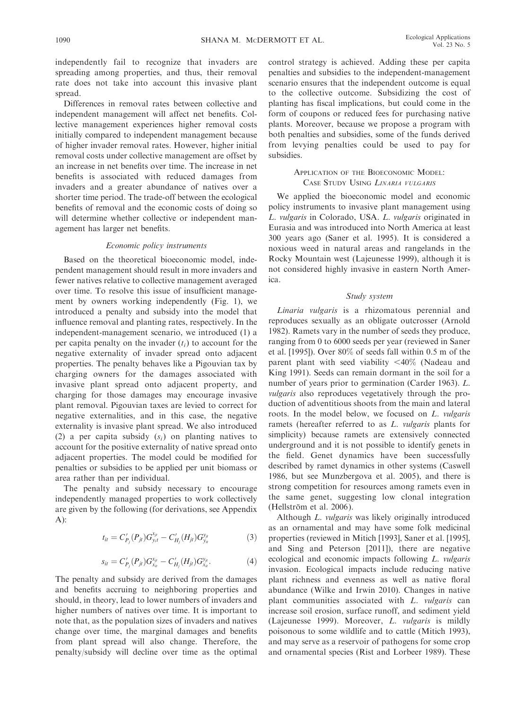independently fail to recognize that invaders are spreading among properties, and thus, their removal rate does not take into account this invasive plant spread.

Differences in removal rates between collective and independent management will affect net benefits. Collective management experiences higher removal costs initially compared to independent management because of higher invader removal rates. However, higher initial removal costs under collective management are offset by an increase in net benefits over time. The increase in net benefits is associated with reduced damages from invaders and a greater abundance of natives over a shorter time period. The trade-off between the ecological benefits of removal and the economic costs of doing so will determine whether collective or independent management has larger net benefits.

#### Economic policy instruments

Based on the theoretical bioeconomic model, independent management should result in more invaders and fewer natives relative to collective management averaged over time. To resolve this issue of insufficient management by owners working independently (Fig. 1), we introduced a penalty and subsidy into the model that influence removal and planting rates, respectively. In the independent-management scenario, we introduced (1) a per capita penalty on the invader  $(t_i)$  to account for the negative externality of invader spread onto adjacent properties. The penalty behaves like a Pigouvian tax by charging owners for the damages associated with invasive plant spread onto adjacent property, and charging for those damages may encourage invasive plant removal. Pigouvian taxes are levied to correct for negative externalities, and in this case, the negative externality is invasive plant spread. We also introduced (2) a per capita subsidy  $(s_i)$  on planting natives to account for the positive externality of native spread onto adjacent properties. The model could be modified for penalties or subsidies to be applied per unit biomass or area rather than per individual.

The penalty and subsidy necessary to encourage independently managed properties to work collectively are given by the following (for derivations, see Appendix A):

$$
t_{it} = C'_{P_j}(P_{jt})G_{y_it}^{x_{jt}} - C'_{H_j}(H_{jt})G_{y_i}^{y_{jt}}
$$
(3)

$$
s_{it} = C'_{P_j}(P_{jt})G_{x_{it}}^{x_{jt}} - C'_{H_j}(H_{jt})G_{x_{it}}^{y_{jt}}.
$$
\n(4)

The penalty and subsidy are derived from the damages and benefits accruing to neighboring properties and should, in theory, lead to lower numbers of invaders and higher numbers of natives over time. It is important to note that, as the population sizes of invaders and natives change over time, the marginal damages and benefits from plant spread will also change. Therefore, the penalty/subsidy will decline over time as the optimal control strategy is achieved. Adding these per capita penalties and subsidies to the independent-management scenario ensures that the independent outcome is equal to the collective outcome. Subsidizing the cost of planting has fiscal implications, but could come in the form of coupons or reduced fees for purchasing native plants. Moreover, because we propose a program with both penalties and subsidies, some of the funds derived from levying penalties could be used to pay for subsidies.

#### APPLICATION OF THE BIOECONOMIC MODEL: CASE STUDY USING LINARIA VULGARIS

We applied the bioeconomic model and economic policy instruments to invasive plant management using L. vulgaris in Colorado, USA. L. vulgaris originated in Eurasia and was introduced into North America at least 300 years ago (Saner et al. 1995). It is considered a noxious weed in natural areas and rangelands in the Rocky Mountain west (Lajeunesse 1999), although it is not considered highly invasive in eastern North America.

#### Study system

Linaria vulgaris is a rhizomatous perennial and reproduces sexually as an obligate outcrosser (Arnold 1982). Ramets vary in the number of seeds they produce, ranging from 0 to 6000 seeds per year (reviewed in Saner et al. [1995]). Over 80% of seeds fall within 0.5 m of the parent plant with seed viability  $\langle 40\% \rangle$  (Nadeau and King 1991). Seeds can remain dormant in the soil for a number of years prior to germination (Carder 1963). L. vulgaris also reproduces vegetatively through the production of adventitious shoots from the main and lateral roots. In the model below, we focused on L. vulgaris ramets (hereafter referred to as L. vulgaris plants for simplicity) because ramets are extensively connected underground and it is not possible to identify genets in the field. Genet dynamics have been successfully described by ramet dynamics in other systems (Caswell 1986, but see Munzbergova et al. 2005), and there is strong competition for resources among ramets even in the same genet, suggesting low clonal integration (Hellström et al. 2006).

Although L. vulgaris was likely originally introduced as an ornamental and may have some folk medicinal properties (reviewed in Mitich [1993], Saner et al. [1995], and Sing and Peterson [2011]), there are negative ecological and economic impacts following L. vulgaris invasion. Ecological impacts include reducing native plant richness and evenness as well as native floral abundance (Wilke and Irwin 2010). Changes in native plant communities associated with L. vulgaris can increase soil erosion, surface runoff, and sediment yield (Lajeunesse 1999). Moreover, L. vulgaris is mildly poisonous to some wildlife and to cattle (Mitich 1993), and may serve as a reservoir of pathogens for some crop and ornamental species (Rist and Lorbeer 1989). These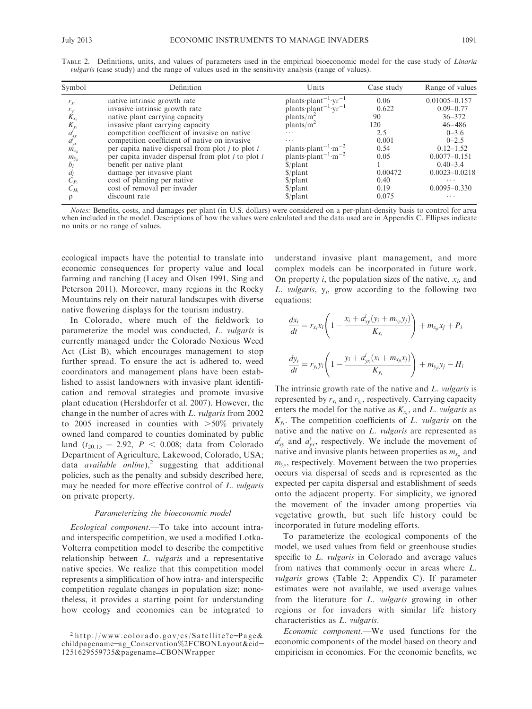| Symbol                    | Definition                                             | Units                                                                                                    | Case study | Range of values   |
|---------------------------|--------------------------------------------------------|----------------------------------------------------------------------------------------------------------|------------|-------------------|
| $r_{x_i}$                 | native intrinsic growth rate                           | plants plant <sup>-1</sup> yr <sup>-1</sup>                                                              | 0.06       | $0.01005 - 0.157$ |
|                           | invasive intrinsic growth rate                         | plants $\text{plant}^{-1} \cdot \text{yr}^{-1}$                                                          | 0.622      | $0.09 - 0.77$     |
| $\frac{r_{y_i}}{K_{x_i}}$ | native plant carrying capacity                         | plants/m <sup>2</sup>                                                                                    | 90         | $36 - 372$        |
| $K_{y_i}$                 | invasive plant carrying capacity                       | plants/m <sup>2</sup>                                                                                    | 120        | $46 - 486$        |
|                           | competition coefficient of invasive on native          | .                                                                                                        | 2.5        | $0 - 3.6$         |
| $a_{yy}^i$<br>$a_{yx}^i$  | competition coefficient of native on invasive          | $\cdots$                                                                                                 | 0.001      | $0 - 2.5$         |
| $m_{x_{ii}}$              | per capita native dispersal from plot $i$ to plot $i$  | plants plant <sup>-1</sup> $\cdot$ m <sup>-2</sup><br>plants plant <sup>-1</sup> $\cdot$ m <sup>-2</sup> | 0.54       | $0.12 - 1.52$     |
| $m_{y_{ii}}$              | per capita invader dispersal from plot $i$ to plot $i$ |                                                                                                          | 0.05       | $0.0077 - 0.151$  |
| $b_i$                     | benefit per native plant                               | $\phi$ /plant                                                                                            |            | $0.40 - 3.4$      |
| $d_i$                     | damage per invasive plant                              | $\frac{\rho}{\rho}$                                                                                      | 0.00472    | $0.0023 - 0.0218$ |
| $C_{P_i}$                 | cost of planting per native                            | $\frac{\rho}{\rho}$                                                                                      | 0.40       | $\cdots$          |
| $C_{H_i}$                 | cost of removal per invader                            | $\frac{\rho}{\rho}$                                                                                      | 0.19       | $0.0095 - 0.330$  |
| ρ                         | discount rate                                          | $\frac{\gamma}{2}$                                                                                       | 0.075      | $\cdots$          |

TABLE 2. Definitions, units, and values of parameters used in the empirical bioeconomic model for the case study of Linaria vulgaris (case study) and the range of values used in the sensitivity analysis (range of values).

Notes: Benefits, costs, and damages per plant (in U.S. dollars) were considered on a per-plant-density basis to control for area when included in the model. Descriptions of how the values were calculated and the data used are in Appendix C. Ellipses indicate no units or no range of values.

ecological impacts have the potential to translate into economic consequences for property value and local farming and ranching (Lacey and Olsen 1991, Sing and Peterson 2011). Moreover, many regions in the Rocky Mountains rely on their natural landscapes with diverse native flowering displays for the tourism industry.

In Colorado, where much of the fieldwork to parameterize the model was conducted, L. vulgaris is currently managed under the Colorado Noxious Weed Act (List B), which encourages management to stop further spread. To ensure the act is adhered to, weed coordinators and management plans have been established to assist landowners with invasive plant identification and removal strategies and promote invasive plant education (Hershdorfer et al. 2007). However, the change in the number of acres with L. vulgaris from 2002 to 2005 increased in counties with  $>50\%$  privately owned land compared to counties dominated by public land  $(t_{20.15} = 2.92, P < 0.008;$  data from Colorado Department of Agriculture, Lakewood, Colorado, USA; data *available online*),<sup>2</sup> suggesting that additional policies, such as the penalty and subsidy described here, may be needed for more effective control of L. vulgaris on private property.

#### Parameterizing the bioeconomic model

Ecological component.—To take into account intraand interspecific competition, we used a modified Lotka-Volterra competition model to describe the competitive relationship between *L. vulgaris* and a representative native species. We realize that this competition model represents a simplification of how intra- and interspecific competition regulate changes in population size; nonetheless, it provides a starting point for understanding how ecology and economics can be integrated to

understand invasive plant management, and more complex models can be incorporated in future work. On property *i*, the population sizes of the native,  $x_i$ , and L. vulgaris,  $y_i$ , grow according to the following two equations:

$$
\frac{dx_i}{dt} = r_{x_i}x_i \left( 1 - \frac{x_i + a_{xy}^i (y_i + m_{y_{ji}}y_j)}{K_{x_i}} \right) + m_{x_{ji}}x_j + P_i
$$
  

$$
\frac{dy_i}{dt} = r_{y_i}y_i \left( 1 - \frac{y_i + a_{yx}^i (x_i + m_{x_{ji}}x_j)}{K_{y_i}} \right) + m_{y_{ji}}y_j - H_i
$$

The intrinsic growth rate of the native and L. vulgaris is represented by  $r_{x_i}$  and  $r_{y_i}$ , respectively. Carrying capacity enters the model for the native as  $K_{x_i}$ , and L. vulgaris as  $K_{y_i}$ . The competition coefficients of L. vulgaris on the native and the native on L. vulgaris are represented as  $a_{xy}^i$  and  $a_{yx}^i$ , respectively. We include the movement of native and invasive plants between properties as  $m_{x_{ii}}$  and  $m_{v_{ii}}$ , respectively. Movement between the two properties occurs via dispersal of seeds and is represented as the expected per capita dispersal and establishment of seeds onto the adjacent property. For simplicity, we ignored the movement of the invader among properties via vegetative growth, but such life history could be incorporated in future modeling efforts.

To parameterize the ecological components of the model, we used values from field or greenhouse studies specific to L. *vulgaris* in Colorado and average values from natives that commonly occur in areas where L. vulgaris grows (Table 2; Appendix C). If parameter estimates were not available, we used average values from the literature for L. vulgaris growing in other regions or for invaders with similar life history characteristics as L. vulgaris.

Economic component.—We used functions for the economic components of the model based on theory and empiricism in economics. For the economic benefits, we

 $2$  http://www.colorado.gov/cs/Satellite?c=Page& childpagename=ag\_Conservation%2FCBONLayout&cid= 1251629559735&pagename¼CBONWrapper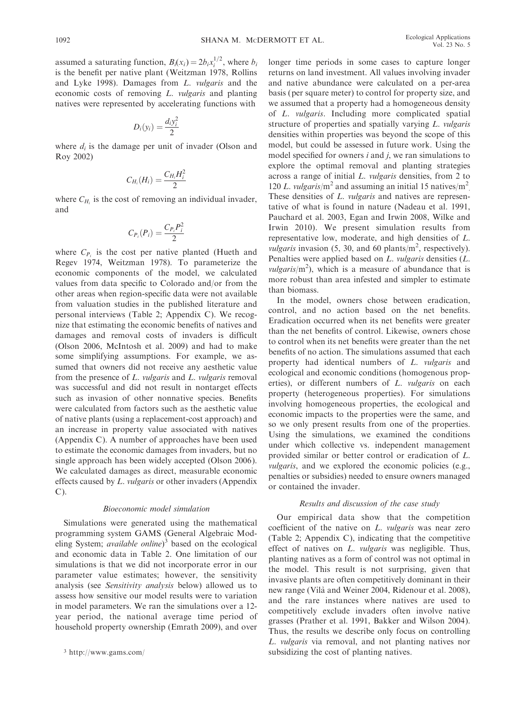assumed a saturating function,  $B_i(x_i) = 2b_i x_i^{1/2}$ , where  $b_i$ is the benefit per native plant (Weitzman 1978, Rollins and Lyke 1998). Damages from L. vulgaris and the economic costs of removing L. vulgaris and planting natives were represented by accelerating functions with

$$
D_i(y_i) = \frac{d_i y_i^2}{2}
$$

where  $d_i$  is the damage per unit of invader (Olson and Roy 2002)

$$
C_{H_i}(H_i) = \frac{C_{H_i}H_i^2}{2}
$$

where  $C_{H_i}$  is the cost of removing an individual invader, and

$$
C_{P_i}(P_i) = \frac{C_{P_i}P_i^2}{2}
$$

where  $C_{P_i}$  is the cost per native planted (Hueth and Regev 1974, Weitzman 1978). To parameterize the economic components of the model, we calculated values from data specific to Colorado and/or from the other areas when region-specific data were not available from valuation studies in the published literature and personal interviews (Table 2; Appendix C). We recognize that estimating the economic benefits of natives and damages and removal costs of invaders is difficult (Olson 2006, McIntosh et al. 2009) and had to make some simplifying assumptions. For example, we assumed that owners did not receive any aesthetic value from the presence of L. vulgaris and L. vulgaris removal was successful and did not result in nontarget effects such as invasion of other nonnative species. Benefits were calculated from factors such as the aesthetic value of native plants (using a replacement-cost approach) and an increase in property value associated with natives (Appendix C). A number of approaches have been used to estimate the economic damages from invaders, but no single approach has been widely accepted (Olson 2006). We calculated damages as direct, measurable economic effects caused by L. vulgaris or other invaders (Appendix C).

#### Bioeconomic model simulation

Simulations were generated using the mathematical programming system GAMS (General Algebraic Modeling System; *available online*)<sup>3</sup> based on the ecological and economic data in Table 2. One limitation of our simulations is that we did not incorporate error in our parameter value estimates; however, the sensitivity analysis (see Sensitivity analysis below) allowed us to assess how sensitive our model results were to variation in model parameters. We ran the simulations over a 12 year period, the national average time period of household property ownership (Emrath 2009), and over longer time periods in some cases to capture longer returns on land investment. All values involving invader and native abundance were calculated on a per-area basis (per square meter) to control for property size, and we assumed that a property had a homogeneous density of L. vulgaris. Including more complicated spatial structure of properties and spatially varying L. vulgaris densities within properties was beyond the scope of this model, but could be assessed in future work. Using the model specified for owners  $i$  and  $j$ , we ran simulations to explore the optimal removal and planting strategies across a range of initial L. vulgaris densities, from 2 to 120 L. vulgaris/m<sup>2</sup> and assuming an initial 15 natives/m<sup>2</sup>. These densities of L. *vulgaris* and natives are representative of what is found in nature (Nadeau et al. 1991, Pauchard et al. 2003, Egan and Irwin 2008, Wilke and Irwin 2010). We present simulation results from representative low, moderate, and high densities of L. *vulgaris* invasion (5, 30, and 60 plants/ $m^2$ , respectively). Penalties were applied based on L. vulgaris densities (L.  $vulgaris/m<sup>2</sup>$ ), which is a measure of abundance that is more robust than area infested and simpler to estimate than biomass.

In the model, owners chose between eradication, control, and no action based on the net benefits. Eradication occurred when its net benefits were greater than the net benefits of control. Likewise, owners chose to control when its net benefits were greater than the net benefits of no action. The simulations assumed that each property had identical numbers of L. vulgaris and ecological and economic conditions (homogenous properties), or different numbers of L. vulgaris on each property (heterogeneous properties). For simulations involving homogeneous properties, the ecological and economic impacts to the properties were the same, and so we only present results from one of the properties. Using the simulations, we examined the conditions under which collective vs. independent management provided similar or better control or eradication of L. vulgaris, and we explored the economic policies (e.g., penalties or subsidies) needed to ensure owners managed or contained the invader.

#### Results and discussion of the case study

Our empirical data show that the competition coefficient of the native on L. vulgaris was near zero (Table 2; Appendix C), indicating that the competitive effect of natives on L. vulgaris was negligible. Thus, planting natives as a form of control was not optimal in the model. This result is not surprising, given that invasive plants are often competitively dominant in their new range (Vila` and Weiner 2004, Ridenour et al. 2008), and the rare instances where natives are used to competitively exclude invaders often involve native grasses (Prather et al. 1991, Bakker and Wilson 2004). Thus, the results we describe only focus on controlling L. vulgaris via removal, and not planting natives nor subsidizing the cost of planting natives. <sup>3</sup> http://www.gams.com/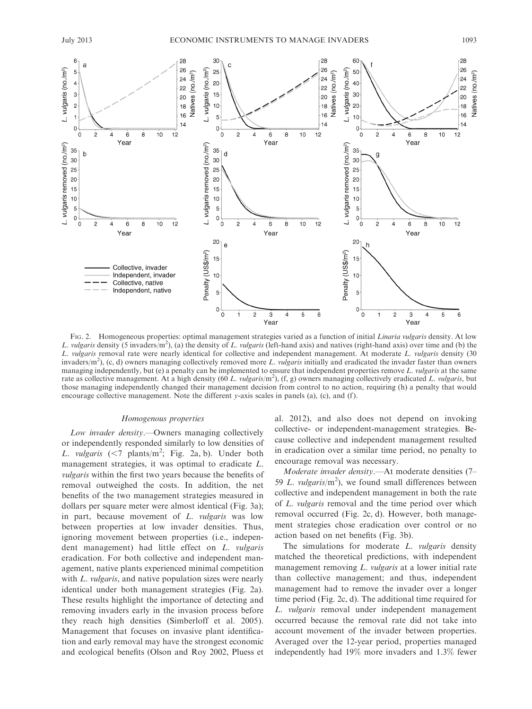6

 $\overline{5}$ 

 $\mathbf{a}$ 

28

26

28

26

30

 $25$ 

 $\mathcal{C}$ 





FIG. 2. Homogeneous properties: optimal management strategies varied as a function of initial Linaria vulgaris density. At low L. vulgaris density (5 invaders/m<sup>2</sup>), (a) the density of L. vulgaris (left-hand axis) and natives (right-hand axis) over time and (b) the L. vulgaris removal rate were nearly identical for collective and independent management. At moderate L. vulgaris density (30 invaders/m<sup>2</sup>), (c, d) owners managing collectively removed more L. *vulgaris* initially and eradicated the invader faster than owners managing independently, but (e) a penalty can be implemented to ensure that independent properties remove  $L$ . *vulgaris* at the same rate as collective management. At a high density (60 L. vulgaris/m<sup>2</sup>), (f, g) owners managing collectively eradicated L. vulgaris, but those managing independently changed their management decision from control to no action, requiring (h) a penalty that would encourage collective management. Note the different y-axis scales in panels (a), (c), and (f).

#### Homogenous properties

Low invader density.—Owners managing collectively or independently responded similarly to low densities of L. vulgaris  $(< 7$  plants/m<sup>2</sup>; Fig. 2a, b). Under both management strategies, it was optimal to eradicate L. vulgaris within the first two years because the benefits of removal outweighed the costs. In addition, the net benefits of the two management strategies measured in dollars per square meter were almost identical (Fig. 3a); in part, because movement of L. vulgaris was low between properties at low invader densities. Thus, ignoring movement between properties (i.e., independent management) had little effect on L. vulgaris eradication. For both collective and independent management, native plants experienced minimal competition with L. vulgaris, and native population sizes were nearly identical under both management strategies (Fig. 2a). These results highlight the importance of detecting and removing invaders early in the invasion process before they reach high densities (Simberloff et al. 2005). Management that focuses on invasive plant identification and early removal may have the strongest economic and ecological benefits (Olson and Roy 2002, Pluess et al. 2012), and also does not depend on invoking collective- or independent-management strategies. Because collective and independent management resulted in eradication over a similar time period, no penalty to encourage removal was necessary.

Moderate invader density.—At moderate densities (7– 59 L. vulgaris/ $m<sup>2</sup>$ ), we found small differences between collective and independent management in both the rate of L. vulgaris removal and the time period over which removal occurred (Fig. 2c, d). However, both management strategies chose eradication over control or no action based on net benefits (Fig. 3b).

The simulations for moderate L. vulgaris density matched the theoretical predictions, with independent management removing L. vulgaris at a lower initial rate than collective management; and thus, independent management had to remove the invader over a longer time period (Fig. 2c, d). The additional time required for L. vulgaris removal under independent management occurred because the removal rate did not take into account movement of the invader between properties. Averaged over the 12-year period, properties managed independently had 19% more invaders and 1.3% fewer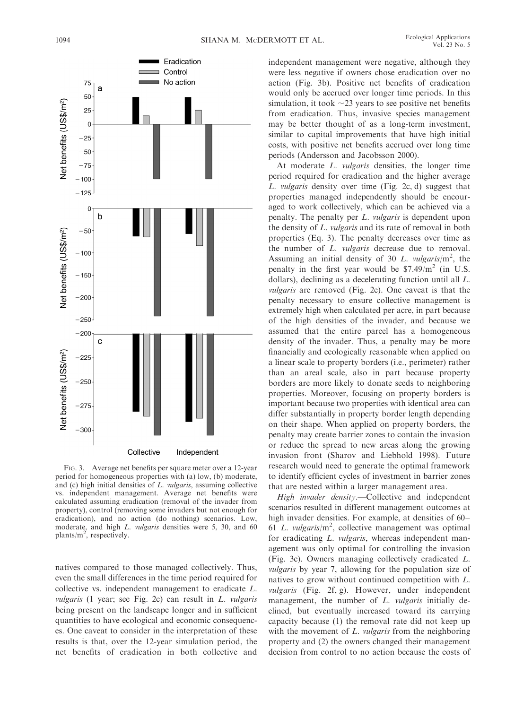

FIG. 3. Average net benefits per square meter over a 12-year period for homogeneous properties with (a) low, (b) moderate, and (c) high initial densities of L. vulgaris, assuming collective vs. independent management. Average net benefits were calculated assuming eradication (removal of the invader from property), control (removing some invaders but not enough for eradication), and no action (do nothing) scenarios. Low, moderate, and high *L. vulgaris* densities were 5, 30, and 60 plants/ $m^2$ , respectively.

natives compared to those managed collectively. Thus, even the small differences in the time period required for collective vs. independent management to eradicate L. vulgaris (1 year; see Fig. 2c) can result in L. vulgaris being present on the landscape longer and in sufficient quantities to have ecological and economic consequences. One caveat to consider in the interpretation of these results is that, over the 12-year simulation period, the net benefits of eradication in both collective and independent management were negative, although they were less negative if owners chose eradication over no action (Fig. 3b). Positive net benefits of eradication would only be accrued over longer time periods. In this simulation, it took  $\sim$ 23 years to see positive net benefits from eradication. Thus, invasive species management may be better thought of as a long-term investment, similar to capital improvements that have high initial costs, with positive net benefits accrued over long time periods (Andersson and Jacobsson 2000).

At moderate L. vulgaris densities, the longer time period required for eradication and the higher average L. vulgaris density over time (Fig. 2c, d) suggest that properties managed independently should be encouraged to work collectively, which can be achieved via a penalty. The penalty per L. vulgaris is dependent upon the density of L. vulgaris and its rate of removal in both properties (Eq. 3). The penalty decreases over time as the number of L. vulgaris decrease due to removal. Assuming an initial density of 30 L. vulgaris/ $m^2$ , the penalty in the first year would be  $$7.49/m<sup>2</sup>$  (in U.S. dollars), declining as a decelerating function until all L. vulgaris are removed (Fig. 2e). One caveat is that the penalty necessary to ensure collective management is extremely high when calculated per acre, in part because of the high densities of the invader, and because we assumed that the entire parcel has a homogeneous density of the invader. Thus, a penalty may be more financially and ecologically reasonable when applied on a linear scale to property borders (i.e., perimeter) rather than an areal scale, also in part because property borders are more likely to donate seeds to neighboring properties. Moreover, focusing on property borders is important because two properties with identical area can differ substantially in property border length depending on their shape. When applied on property borders, the penalty may create barrier zones to contain the invasion or reduce the spread to new areas along the growing invasion front (Sharov and Liebhold 1998). Future research would need to generate the optimal framework to identify efficient cycles of investment in barrier zones that are nested within a larger management area.

High invader density.—Collective and independent scenarios resulted in different management outcomes at high invader densities. For example, at densities of 60– 61 L. vulgaris/ $m^2$ , collective management was optimal for eradicating L. vulgaris, whereas independent management was only optimal for controlling the invasion (Fig. 3c). Owners managing collectively eradicated L. vulgaris by year 7, allowing for the population size of natives to grow without continued competition with L. vulgaris (Fig. 2f, g). However, under independent management, the number of *L. vulgaris* initially declined, but eventually increased toward its carrying capacity because (1) the removal rate did not keep up with the movement of L. vulgaris from the neighboring property and (2) the owners changed their management decision from control to no action because the costs of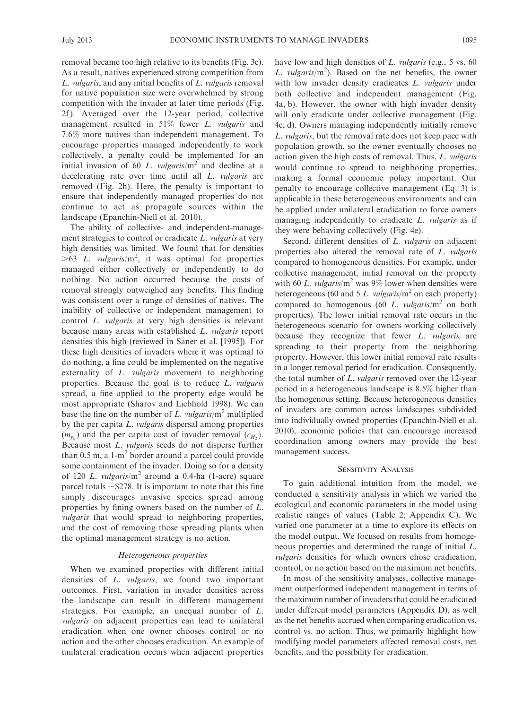removal became too high relative to its benefits (Fig. 3c). As a result, natives experienced strong competition from L. vulgaris, and any initial benefits of L. vulgaris removal for native population size were overwhelmed by strong competition with the invader at later time periods (Fig. 2f ). Averaged over the 12-year period, collective management resulted in 51% fewer L. vulgaris and 7.6% more natives than independent management. To encourage properties managed independently to work collectively, a penalty could be implemented for an initial invasion of 60 L. vulgaris/ $m<sup>2</sup>$  and decline at a decelerating rate over time until all *L. vulgaris* are removed (Fig. 2h). Here, the penalty is important to ensure that independently managed properties do not continue to act as propagule sources within the landscape (Epanchin-Niell et al. 2010).

The ability of collective- and independent-management strategies to control or eradicate L. *vulgaris* at very high densities was limited. We found that for densities  $>63$  L. vulgaris/m<sup>2</sup>, it was optimal for properties managed either collectively or independently to do nothing. No action occurred because the costs of removal strongly outweighed any benefits. This finding was consistent over a range of densities of natives. The inability of collective or independent management to control L. vulgaris at very high densities is relevant because many areas with established L. vulgaris report densities this high (reviewed in Saner et al. [1995]). For these high densities of invaders where it was optimal to do nothing, a fine could be implemented on the negative externality of *L. vulgaris* movement to neighboring properties. Because the goal is to reduce L. vulgaris spread, a fine applied to the property edge would be most appropriate (Sharov and Liebhold 1998). We can base the fine on the number of L. vulgaris/ $m^2$  multiplied by the per capita L. *vulgaris* dispersal among properties  $(m_{yii})$  and the per capita cost of invader removal  $(c_H)$ . Because most L. vulgaris seeds do not disperse further than  $0.5$  m, a  $1-m<sup>2</sup>$  border around a parcel could provide some containment of the invader. Doing so for a density of 120 L. vulgaris/ $m<sup>2</sup>$  around a 0.4-ha (1-acre) square parcel totals  $\sim$  \$278. It is important to note that this fine simply discourages invasive species spread among properties by fining owners based on the number of L. vulgaris that would spread to neighboring properties, and the cost of removing those spreading plants when the optimal management strategy is no action.

#### Heterogeneous properties

When we examined properties with different initial densities of L. vulgaris, we found two important outcomes. First, variation in invader densities across the landscape can result in different management strategies. For example, an unequal number of L. vulgaris on adjacent properties can lead to unilateral eradication when one owner chooses control or no action and the other chooses eradication. An example of unilateral eradication occurs when adjacent properties have low and high densities of L. vulgaris (e.g., 5 vs. 60) L. vulgaris/ $m^2$ ). Based on the net benefits, the owner with low invader density eradicates *L. vulgaris* under both collective and independent management (Fig. 4a, b). However, the owner with high invader density will only eradicate under collective management (Fig. 4c, d). Owners managing independently initially remove L. vulgaris, but the removal rate does not keep pace with population growth, so the owner eventually chooses no action given the high costs of removal. Thus, L. vulgaris would continue to spread to neighboring properties, making a formal economic policy important. Our penalty to encourage collective management (Eq. 3) is applicable in these heterogeneous environments and can be applied under unilateral eradication to force owners managing independently to eradicate L. vulgaris as if they were behaving collectively (Fig. 4e).

Second, different densities of L. vulgaris on adjacent properties also altered the removal rate of L. vulgaris compared to homogeneous densities. For example, under collective management, initial removal on the property with 60 L. vulgaris/ $m^2$  was 9% lower when densities were heterogeneous (60 and 5 L. vulgaris/ $m<sup>2</sup>$  on each property) compared to homogenous (60 L. vulgaris/ $m<sup>2</sup>$  on both properties). The lower initial removal rate occurs in the heterogeneous scenario for owners working collectively because they recognize that fewer L. vulgaris are spreading to their property from the neighboring property. However, this lower initial removal rate results in a longer removal period for eradication. Consequently, the total number of L. vulgaris removed over the 12-year period in a heterogeneous landscape is 8.5% higher than the homogenous setting. Because heterogeneous densities of invaders are common across landscapes subdivided into individually owned properties (Epanchin-Niell et al. 2010), economic policies that can encourage increased coordination among owners may provide the best management success.

#### SENSITIVITY ANALYSIS

To gain additional intuition from the model, we conducted a sensitivity analysis in which we varied the ecological and economic parameters in the model using realistic ranges of values (Table 2; Appendix C). We varied one parameter at a time to explore its effects on the model output. We focused on results from homogeneous properties and determined the range of initial L. vulgaris densities for which owners chose eradication, control, or no action based on the maximum net benefits.

In most of the sensitivity analyses, collective management outperformed independent management in terms of the maximum number of invaders that could be eradicated under different model parameters (Appendix D), as well as the net benefits accrued when comparing eradication vs. control vs. no action. Thus, we primarily highlight how modifying model parameters affected removal costs, net benefits, and the possibility for eradication.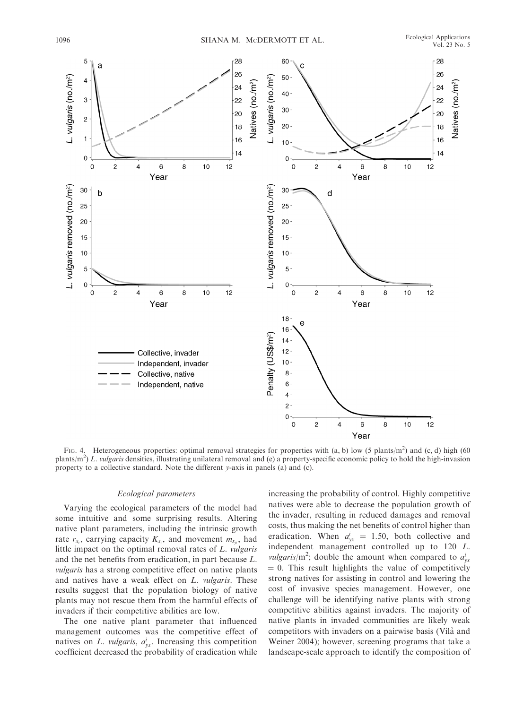

FIG. 4. Heterogeneous properties: optimal removal strategies for properties with  $(a, b)$  low (5 plants/m<sup>2</sup>) and (c, d) high (60) plants/m<sup>2</sup>) L. vulgaris densities, illustrating unilateral removal and (e) a property-specific economic policy to hold the high-invasion property to a collective standard. Note the different y-axis in panels (a) and (c).

#### Ecological parameters

Varying the ecological parameters of the model had some intuitive and some surprising results. Altering native plant parameters, including the intrinsic growth rate  $r_{x_i}$ , carrying capacity  $K_{x_i}$ , and movement  $m_{x_{ji}}$ , had little impact on the optimal removal rates of L. vulgaris and the net benefits from eradication, in part because L. vulgaris has a strong competitive effect on native plants and natives have a weak effect on L. vulgaris. These results suggest that the population biology of native plants may not rescue them from the harmful effects of invaders if their competitive abilities are low.

The one native plant parameter that influenced management outcomes was the competitive effect of natives on L. vulgaris,  $a_{yx}^i$ . Increasing this competition coefficient decreased the probability of eradication while increasing the probability of control. Highly competitive natives were able to decrease the population growth of the invader, resulting in reduced damages and removal costs, thus making the net benefits of control higher than eradication. When  $a_{yx}^i = 1.50$ , both collective and independent management controlled up to 120 L. *vulgaris*/m<sup>2</sup>; double the amount when compared to  $a_{yx}^i$  $= 0$ . This result highlights the value of competitively strong natives for assisting in control and lowering the cost of invasive species management. However, one challenge will be identifying native plants with strong competitive abilities against invaders. The majority of native plants in invaded communities are likely weak competitors with invaders on a pairwise basis (Vila` and Weiner 2004); however, screening programs that take a landscape-scale approach to identify the composition of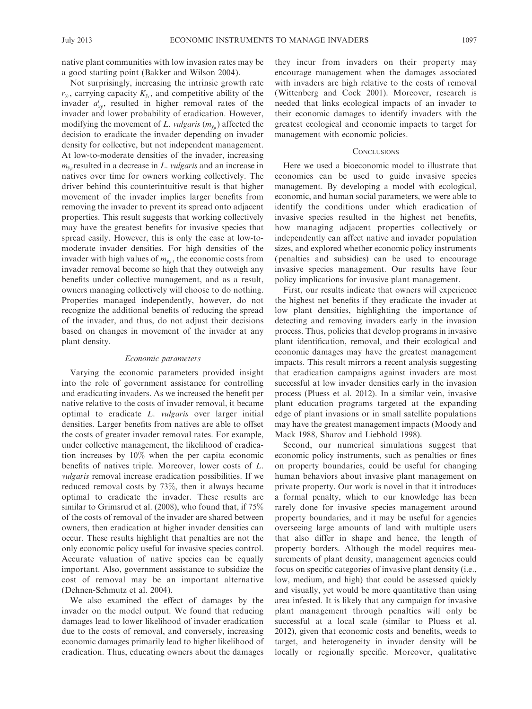native plant communities with low invasion rates may be a good starting point (Bakker and Wilson 2004).

Not surprisingly, increasing the intrinsic growth rate  $r_{y_i}$ , carrying capacity  $K_{y_i}$ , and competitive ability of the invader  $a_{xy}^i$ , resulted in higher removal rates of the invader and lower probability of eradication. However, modifying the movement of L. vulgaris  $(m_{y_{ij}})$  affected the decision to eradicate the invader depending on invader density for collective, but not independent management. At low-to-moderate densities of the invader, increasing  $m_{v}$  resulted in a decrease in L. vulgaris and an increase in natives over time for owners working collectively. The driver behind this counterintuitive result is that higher movement of the invader implies larger benefits from removing the invader to prevent its spread onto adjacent properties. This result suggests that working collectively may have the greatest benefits for invasive species that spread easily. However, this is only the case at low-tomoderate invader densities. For high densities of the invader with high values of  $m_{y_{ij}}$ , the economic costs from invader removal become so high that they outweigh any benefits under collective management, and as a result, owners managing collectively will choose to do nothing. Properties managed independently, however, do not recognize the additional benefits of reducing the spread of the invader, and thus, do not adjust their decisions based on changes in movement of the invader at any plant density.

#### Economic parameters

Varying the economic parameters provided insight into the role of government assistance for controlling and eradicating invaders. As we increased the benefit per native relative to the costs of invader removal, it became optimal to eradicate L. vulgaris over larger initial densities. Larger benefits from natives are able to offset the costs of greater invader removal rates. For example, under collective management, the likelihood of eradication increases by 10% when the per capita economic benefits of natives triple. Moreover, lower costs of L. vulgaris removal increase eradication possibilities. If we reduced removal costs by 73%, then it always became optimal to eradicate the invader. These results are similar to Grimsrud et al. (2008), who found that, if 75% of the costs of removal of the invader are shared between owners, then eradication at higher invader densities can occur. These results highlight that penalties are not the only economic policy useful for invasive species control. Accurate valuation of native species can be equally important. Also, government assistance to subsidize the cost of removal may be an important alternative (Dehnen-Schmutz et al. 2004).

We also examined the effect of damages by the invader on the model output. We found that reducing damages lead to lower likelihood of invader eradication due to the costs of removal, and conversely, increasing economic damages primarily lead to higher likelihood of eradication. Thus, educating owners about the damages they incur from invaders on their property may encourage management when the damages associated with invaders are high relative to the costs of removal (Wittenberg and Cock 2001). Moreover, research is needed that links ecological impacts of an invader to their economic damages to identify invaders with the greatest ecological and economic impacts to target for management with economic policies.

#### **CONCLUSIONS**

Here we used a bioeconomic model to illustrate that economics can be used to guide invasive species management. By developing a model with ecological, economic, and human social parameters, we were able to identify the conditions under which eradication of invasive species resulted in the highest net benefits, how managing adjacent properties collectively or independently can affect native and invader population sizes, and explored whether economic policy instruments (penalties and subsidies) can be used to encourage invasive species management. Our results have four policy implications for invasive plant management.

First, our results indicate that owners will experience the highest net benefits if they eradicate the invader at low plant densities, highlighting the importance of detecting and removing invaders early in the invasion process. Thus, policies that develop programs in invasive plant identification, removal, and their ecological and economic damages may have the greatest management impacts. This result mirrors a recent analysis suggesting that eradication campaigns against invaders are most successful at low invader densities early in the invasion process (Pluess et al. 2012). In a similar vein, invasive plant education programs targeted at the expanding edge of plant invasions or in small satellite populations may have the greatest management impacts (Moody and Mack 1988, Sharov and Liebhold 1998).

Second, our numerical simulations suggest that economic policy instruments, such as penalties or fines on property boundaries, could be useful for changing human behaviors about invasive plant management on private property. Our work is novel in that it introduces a formal penalty, which to our knowledge has been rarely done for invasive species management around property boundaries, and it may be useful for agencies overseeing large amounts of land with multiple users that also differ in shape and hence, the length of property borders. Although the model requires measurements of plant density, management agencies could focus on specific categories of invasive plant density (i.e., low, medium, and high) that could be assessed quickly and visually, yet would be more quantitative than using area infested. It is likely that any campaign for invasive plant management through penalties will only be successful at a local scale (similar to Pluess et al. 2012), given that economic costs and benefits, weeds to target, and heterogeneity in invader density will be locally or regionally specific. Moreover, qualitative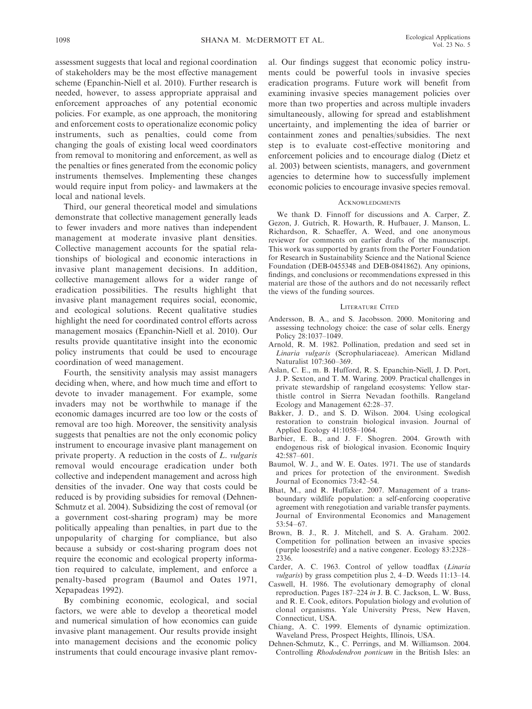assessment suggests that local and regional coordination of stakeholders may be the most effective management scheme (Epanchin-Niell et al. 2010). Further research is needed, however, to assess appropriate appraisal and enforcement approaches of any potential economic policies. For example, as one approach, the monitoring and enforcement costs to operationalize economic policy instruments, such as penalties, could come from changing the goals of existing local weed coordinators from removal to monitoring and enforcement, as well as the penalties or fines generated from the economic policy instruments themselves. Implementing these changes would require input from policy- and lawmakers at the local and national levels.

Third, our general theoretical model and simulations demonstrate that collective management generally leads to fewer invaders and more natives than independent management at moderate invasive plant densities. Collective management accounts for the spatial relationships of biological and economic interactions in invasive plant management decisions. In addition, collective management allows for a wider range of eradication possibilities. The results highlight that invasive plant management requires social, economic, and ecological solutions. Recent qualitative studies highlight the need for coordinated control efforts across management mosaics (Epanchin-Niell et al. 2010). Our results provide quantitative insight into the economic policy instruments that could be used to encourage coordination of weed management.

Fourth, the sensitivity analysis may assist managers deciding when, where, and how much time and effort to devote to invader management. For example, some invaders may not be worthwhile to manage if the economic damages incurred are too low or the costs of removal are too high. Moreover, the sensitivity analysis suggests that penalties are not the only economic policy instrument to encourage invasive plant management on private property. A reduction in the costs of L. vulgaris removal would encourage eradication under both collective and independent management and across high densities of the invader. One way that costs could be reduced is by providing subsidies for removal (Dehnen-Schmutz et al. 2004). Subsidizing the cost of removal (or a government cost-sharing program) may be more politically appealing than penalties, in part due to the unpopularity of charging for compliance, but also because a subsidy or cost-sharing program does not require the economic and ecological property information required to calculate, implement, and enforce a penalty-based program (Baumol and Oates 1971, Xepapadeas 1992).

By combining economic, ecological, and social factors, we were able to develop a theoretical model and numerical simulation of how economics can guide invasive plant management. Our results provide insight into management decisions and the economic policy instruments that could encourage invasive plant removal. Our findings suggest that economic policy instruments could be powerful tools in invasive species eradication programs. Future work will benefit from examining invasive species management policies over more than two properties and across multiple invaders simultaneously, allowing for spread and establishment uncertainty, and implementing the idea of barrier or containment zones and penalties/subsidies. The next step is to evaluate cost-effective monitoring and enforcement policies and to encourage dialog (Dietz et al. 2003) between scientists, managers, and government agencies to determine how to successfully implement economic policies to encourage invasive species removal.

#### **ACKNOWLEDGMENTS**

We thank D. Finnoff for discussions and A. Carper, Z. Gezon, J. Gutrich, R. Howarth, R. Hufbauer, J. Manson, L. Richardson, R. Schaeffer, A. Weed, and one anonymous reviewer for comments on earlier drafts of the manuscript. This work was supported by grants from the Porter Foundation for Research in Sustainability Science and the National Science Foundation (DEB-0455348 and DEB-0841862). Any opinions, findings, and conclusions or recommendations expressed in this material are those of the authors and do not necessarily reflect the views of the funding sources.

#### LITERATURE CITED

- Andersson, B. A., and S. Jacobsson. 2000. Monitoring and assessing technology choice: the case of solar cells. Energy Policy 28:1037–1049.
- Arnold, R. M. 1982. Pollination, predation and seed set in Linaria vulgaris (Scrophulariaceae). American Midland Naturalist 107:360–369.
- Aslan, C. E., m. B. Hufford, R. S. Epanchin-Niell, J. D. Port, J. P. Sexton, and T. M. Waring. 2009. Practical challenges in private stewardship of rangeland ecosystems: Yellow starthistle control in Sierra Nevadan foothills. Rangeland Ecology and Management 62:28–37.
- Bakker, J. D., and S. D. Wilson. 2004. Using ecological restoration to constrain biological invasion. Journal of Applied Ecology 41:1058–1064.
- Barbier, E. B., and J. F. Shogren. 2004. Growth with endogenous risk of biological invasion. Economic Inquiry 42:587–601.
- Baumol, W. J., and W. E. Oates. 1971. The use of standards and prices for protection of the environment. Swedish Journal of Economics 73:42–54.
- Bhat, M., and R. Huffaker. 2007. Management of a transboundary wildlife population: a self-enforcing cooperative agreement with renegotiation and variable transfer payments. Journal of Environmental Economics and Management 53:54–67.
- Brown, B. J., R. J. Mitchell, and S. A. Graham. 2002. Competition for pollination between an invasive species (purple loosestrife) and a native congener. Ecology 83:2328– 2336.
- Carder, A. C. 1963. Control of yellow toadflax (Linaria vulgaris) by grass competition plus 2, 4-D. Weeds 11:13-14.
- Caswell, H. 1986. The evolutionary demography of clonal reproduction. Pages 187–224 in J. B. C. Jackson, L. W. Buss, and R. E. Cook, editors. Population biology and evolution of clonal organisms. Yale University Press, New Haven, Connecticut, USA.
- Chiang, A. C. 1999. Elements of dynamic optimization. Waveland Press, Prospect Heights, Illinois, USA.
- Dehnen-Schmutz, K., C. Perrings, and M. Williamson. 2004. Controlling Rhododendron ponticum in the British Isles: an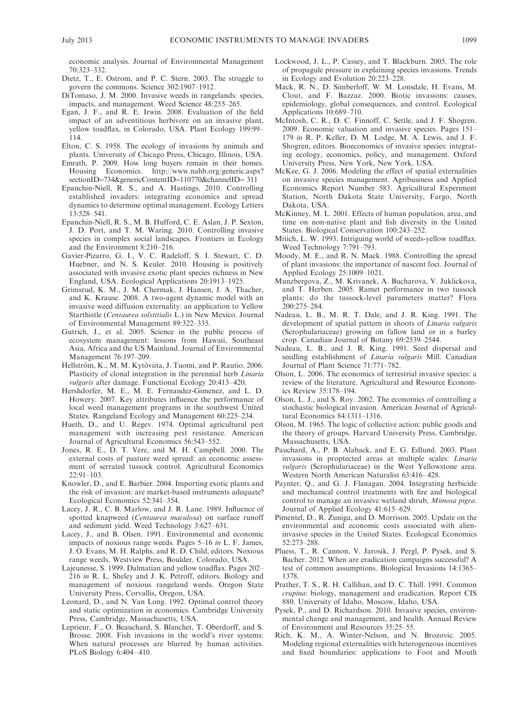economic analysis. Journal of Environmental Management 70:323–332.

- Dietz, T., E. Ostrom, and P. C. Stern. 2003. The struggle to govern the commons. Science 302:1907–1912.
- DiTomaso, J. M. 2000. Invasive weeds in rangelands: species, impacts, and management. Weed Science 48:255–265.
- Egan, J. F., and R. E. Irwin. 2008. Evaluation of the field impact of an adventitious herbivore on an invasive plant, yellow toadflax, in Colorado, USA. Plant Ecology 199:99– 114.
- Elton, C. S. 1958. The ecology of invasions by animals and plants. University of Chicago Press, Chicago, Illinois, USA.
- Emrath, P. 2009. How long buyers remain in their homes. Housing Economics. http://www.nahb.org/generic.aspx? sectionID=734&genericContentID=110770&channelID=311
- Epanchin-Niell, R. S., and A. Hastings. 2010. Controlling established invaders: integrating economics and spread dynamics to determine optimal management. Ecology Letters 13:528–541.
- Epanchin-Niell, R. S., M. B. Hufford, C. E. Aslan, J. P. Sexton, J. D. Port, and T. M. Waring. 2010. Controlling invasive species in complex social landscapes. Frontiers in Ecology and the Environment 8:210–216.
- Gavier-Pizarro, G. I., V. C. Radeloff, S. I. Stewart, C. D. Huebner, and N. S. Keuler. 2010. Housing is positively associated with invasive exotic plant species richness in New England, USA. Ecological Applications 20:1913–1925.
- Grimsrud, K. M., J. M. Chermak, J. Hansen, J. A. Thacher, and K. Krause. 2008. A two-agent dynamic model with an invasive weed diffusion externality: an application to Yellow Starthistle (Centaurea solstitialis L.) in New Mexico. Journal of Environmental Management 89:322–335.
- Gutrich, J., et al. 2005. Science in the public process of ecosystem management: lessons from Hawaii, Southeast Asia, Africa and the US Mainland. Journal of Environmental Management 76:197–209.
- Hellström, K., M. M. Kytöviita, J. Tuomi, and P. Rautio. 2006. Plasticity of clonal integration in the perennial herb Linaria vulgaris after damage. Functional Ecology 20:413–420.
- Hershdorfer, M. E., M. E. Fernandez-Gimenez, and L. D. Howery. 2007. Key attributes influence the performance of local weed management programs in the southwest United States. Rangeland Ecology and Management 60:225–234.
- Hueth, D., and U. Regev. 1974. Optimal agricultural pest management with increasing pest resistance. American Journal of Agricultural Economics 56:543–552.
- Jones, R. E., D. T. Vere, and M. H. Campbell. 2000. The external costs of pasture weed spread: an economic assessment of serrated tussock control. Agricultural Economics 22:91–103.
- Knowler, D., and E. Barbier. 2004. Importing exotic plants and the risk of invasion: are market-based instruments adequate? Ecological Economics 52:341–354.
- Lacey, J. R., C. B. Marlow, and J. R. Lane. 1989. Influence of spotted knapweed (Centaurea maculosa) on surface runoff and sediment yield. Weed Technology 3:627–631.
- Lacey, J., and B. Olsen. 1991. Environmental and economic impacts of noxious range weeds. Pages 5–16 in L. F. James, J. O. Evans, M. H. Ralphs, and R. D. Child, editors. Noxious range weeds. Westview Press, Boulder, Colorado, USA.
- Lajeunesse, S. 1999. Dalmatian and yellow toadflax. Pages 202– 216 in R. L. Sheley and J. K. Petroff, editors. Biology and management of noxious rangeland weeds. Oregon State University Press, Corvallis, Oregon, USA.
- Leonard, D., and N. Van Long. 1992. Optimal control theory and static optimization in economics. Cambridge University Press, Cambridge, Massachusetts, USA.
- Leprieur, F., O. Beauchard, S. Blanchet, T. Oberdorff, and S. Brosse. 2008. Fish invasions in the world's river systems: When natural processes are blurred by human activities. PLoS Biology 6:404–410.
- Lockwood, J. L., P. Cassey, and T. Blackburn. 2005. The role of propagule pressure in explaining species invasions. Trends in Ecology and Evolution 20:223–228.
- Mack, R. N., D. Simberloff, W. M. Lonsdale, H. Evans, M. Clout, and F. Bazzaz. 2000. Biotic invasions: causes, epidemiology, global consequences, and control. Ecological Applications 10:689–710.
- McIntosh, C. R., D. C. Finnoff, C. Settle, and J. F. Shogren. 2009. Economic valuation and invasive species. Pages 151– 179 in R. P. Keller, D. M. Lodge, M. A. Lewis, and J. F. Shogren, editors. Bioeconomics of invasive species: integrating ecology, economics, policy, and management. Oxford University Press, New York, New York, USA.
- McKee, G. J. 2006. Modeling the effect of spatial externalities on invasive species management. Agribusiness and Applied Economics Report Number 583. Agricultural Experiment Station, North Dakota State University, Fargo, North Dakota, USA.
- McKinney, M. L. 2001. Effects of human population, area, and time on non-native plant and fish diversity in the United States. Biological Conservation 100:243–252.
- Mitich, L. W. 1993. Intriguing world of weeds-yellow toadflax. Weed Technology 7:791–793.
- Moody, M. E., and R. N. Mack. 1988. Controlling the spread of plant invasions: the importance of nascent foci. Journal of Applied Ecology 25:1009–1021.
- Munzbergova, Z., M. Krivanek, A. Bucharova, V. Juklickova, and T. Herben. 2005. Ramet performance in two tussock plants: do the tussock-level parameters matter? Flora 200:275–284.
- Nadeau, L. B., M. R. T. Dale, and J. R. King. 1991. The development of spatial pattern in shoots of Linaria vulgaris (Scrophulariaceae) growing on fallow land or in a barley crop. Canadian Journal of Botany 69:2539–2544.
- Nadeau, L. B., and J. R. King. 1991. Seed dispersal and seedling establishment of Linaria vulgaris Mill. Canadian Journal of Plant Science 71:771–782.
- Olson, L. 2006. The economics of terrestrial invasive species: a review of the literature. Agricultural and Resource Economics Review 35:178–194.
- Olson, L. J., and S. Roy. 2002. The economics of controlling a stochastic biological invasion. American Journal of Agricultural Economics 84:1311–1316.
- Olson, M. 1965. The logic of collective action: public goods and the theory of groups. Harvard University Press, Cambridge, Massachusetts, USA.
- Pauchard, A., P. B. Alaback, and E. G. Edlund. 2003. Plant invasions in proptected areas at multiple scales: Linaria vulgaris (Scrophulariaceae) in the West Yellowstone area. Western North American Naturalist 63:416–428.
- Paynter, Q., and G. J. Flanagan. 2004. Integrating herbicide and mechanical control treatments with fire and biological control to manage an invasive wetland shrub, Mimosa pigra. Journal of Applied Ecology 41:615–629.
- Pimentel, D., R. Zuniga, and D. Morrison. 2005. Update on the environmental and economic costs associated with alieninvasive species in the United States. Ecological Economics 52:273–288.
- Pluess, T., R. Cannon, V. Jarosik, J. Pergl, P. Pysek, and S. Bacher. 2012. When are eradication campaigns successful? A test of common assumptions. Biological Invasions 14:1365– 1378.
- Prather, T. S., R. H. Callihan, and D. C. Thill. 1991. Common crupina: biology, management and eradication. Report CIS 880. University of Idaho, Moscow, Idaho, USA.
- Pysek, P., and D. Richardson. 2010. Invasive species, environmental change and management, and health. Annual Review of Environment and Resources 35:25–55.
- Rich, K. M., A. Winter-Nelson, and N. Brozovic. 2005. Modeling regional externalities with heterogeneous incentives and fixed boundaries: applications to Foot and Mouth